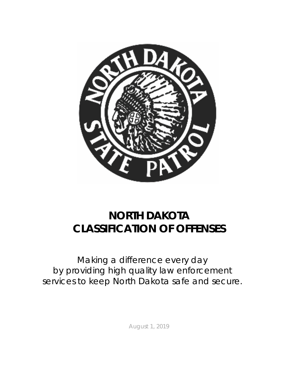

# **NORTH DAKOTA CLASSIFICATION OF OFFENSES**

*Making a difference every day by providing high quality law enforcement services to keep North Dakota safe and secure.*

August 1, 2019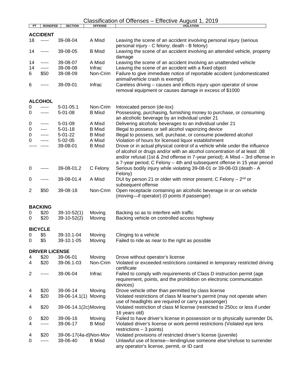|                |                       |                       |                | Classification of Offenses - Effective August 1, 2019                                                                                                                                                                                |
|----------------|-----------------------|-----------------------|----------------|--------------------------------------------------------------------------------------------------------------------------------------------------------------------------------------------------------------------------------------|
| PT             | <b>BOND/FEE</b>       | <b>SECTION</b>        | <b>OFFENSE</b> | <b>VIOLATION</b>                                                                                                                                                                                                                     |
|                | <b>ACCIDENT</b>       |                       |                |                                                                                                                                                                                                                                      |
| 18             | -----                 | 39-08-04              | A Misd         | Leaving the scene of an accident involving personal injury (serious<br>personal injury - C felony; death - B felony)                                                                                                                 |
| 14             | -----                 | 39-08-05              | <b>B</b> Misd  | Leaving the scene of an accident involving an attended vehicle, property<br>damage                                                                                                                                                   |
| 14             | -----                 | 39-08-07              | A Misd         | Leaving the scene of an accident involving an unattended vehicle                                                                                                                                                                     |
| 14             | -----                 | 39-08-08              | Infrac         | Leaving the scene of an accident with a fixed object                                                                                                                                                                                 |
| 6              | \$50                  | 39-08-09              | Non-Crim       | Failure to give immediate notice of reportable accident (undomesticated<br>animal/vehicle crash is exempt)                                                                                                                           |
| 6              |                       | 39-09-01              | Infrac         | Careless driving – causes and inflicts injury upon operator of snow<br>removal equipment or causes damage in excess of \$1000                                                                                                        |
|                | <b>ALCOHOL</b>        |                       |                |                                                                                                                                                                                                                                      |
| 0              | -----                 | $5 - 01 - 05.1$       | Non-Crim       | Intoxicated person (de-tox)                                                                                                                                                                                                          |
| 0              | -----                 | $5 - 01 - 08$         | <b>B</b> Misd  | Possessing, purchasing, furnishing money to purchase, or consuming<br>an alcoholic beverage by an individual under 21                                                                                                                |
| 0              | -----                 | $5 - 01 - 09$         | A Misd         | Delivering alcoholic beverages to an individual under 21                                                                                                                                                                             |
| 0              | ----                  | $5 - 01 - 18$         | <b>B</b> Misd  | Illegal to possess or sell alcohol vaporizing device                                                                                                                                                                                 |
| 0              | -----                 | $5 - 01 - 22$         | <b>B</b> Misd  | Illegal to possess, sell, purchase, or consume powdered alcohol                                                                                                                                                                      |
| 0              |                       | $5 - 02 - 05$         | A Misd         | Violation of hours for licensed liquor establishment                                                                                                                                                                                 |
|                | -----                 | 39-08-01              | <b>B</b> Misd  | Drove or in actual physical control of a vehicle while under the influence                                                                                                                                                           |
|                |                       |                       |                | of alcohol or drugs and/or with an alcohol concentration of at least .08<br>and/or refusal (1st & 2nd offense in 7-year period); A Misd - 3rd offense in<br>a 7-year period; C Felony - 4th and subsequent offense in 15 year period |
| 0              |                       | 39-08-01.2            | C Felony       | Serious bodily injury while violating 39-08-01 or 39-08-03 (death - A<br>Felony)                                                                                                                                                     |
| 0              |                       | 39-08-01.4            | A Misd         | DUI by person 21 or older with minor present; C Felony $-2nd$ or<br>subsequent offense                                                                                                                                               |
| $\overline{2}$ | \$50                  | 39-08-18              | Non-Crim       | Open receptacle containing an alcoholic beverage in or on vehicle<br>(moving-if operator) (0 points if passenger)                                                                                                                    |
|                | <b>BACKING</b>        |                       |                |                                                                                                                                                                                                                                      |
| 0              | \$20                  | $39-10-52(1)$         | Moving         | Backing so as to interfere with traffic                                                                                                                                                                                              |
| 0              | \$20                  | $39-10-52(2)$         | Moving         | Backing vehicle on controlled access highway                                                                                                                                                                                         |
|                | <b>BICYCLE</b>        |                       |                |                                                                                                                                                                                                                                      |
| 0              | \$5                   | 39-10.1-04            | Moving         | Clinging to a vehicle                                                                                                                                                                                                                |
| 0              | \$5                   | 39-10.1-05            | Moving         | Failed to ride as near to the right as possible                                                                                                                                                                                      |
|                |                       |                       |                |                                                                                                                                                                                                                                      |
|                | <b>DRIVER LICENSE</b> |                       |                |                                                                                                                                                                                                                                      |
| 4              | \$20                  | 39-06-01              | Moving         | Drove without operator's license                                                                                                                                                                                                     |
| 4              | \$20                  | 39-06.1-03            | Non-Crim       | Violated or exceeded restrictions contained in temporary restricted driving<br>certificate                                                                                                                                           |
| $\overline{2}$ | -----                 | 39-06-04              | Infrac         | Failed to comply with requirements of Class D instruction permit (age<br>requirement, points, and the prohibition on electronic communication<br>devices)                                                                            |
| 4              | \$20                  | 39-06-14              | Moving         | Drove vehicle other than permitted by class license                                                                                                                                                                                  |
| 4              | \$20                  | $39-06-14.1(1)$       | Moving         | Violated restrictions of class M learner's permit (may not operate when                                                                                                                                                              |
| 4              | \$20                  | 39-06-14.1(2c) Moving |                | use of headlights are required or carry a passenger)<br>Violated restriction of class M license (restricted to 250cc or less if under                                                                                                |
|                |                       |                       |                | 16 years old)                                                                                                                                                                                                                        |
| 0              | \$20                  | 39-06-16              | Moving         | Failed to have driver's license in possession or to physically surrender DL                                                                                                                                                          |
| 4              | -----                 | 39-06-17              | <b>B</b> Misd  | Violated driver's license or work permit restrictions (Violated eye lens<br>$restrictions - 3 points)$                                                                                                                               |
| 4              | \$20                  | 39-06-17(4a-d)Non-Mov |                | Violated provisions of restricted driver's license (juvenile)                                                                                                                                                                        |
| 0              | -----                 | 39-06-40              | <b>B</b> Misd  | Unlawful use of license-lending/use someone else's/refuse to surrender<br>any operator's license, permit, or ID card                                                                                                                 |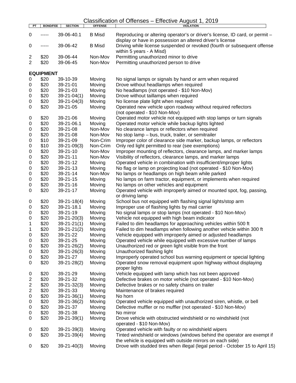| PT             | <b>BOND/FEE</b>  | <b>SECTION</b>                | <b>OFFENSE</b>   | <b>VIOLATION</b>                                                                                                                                         |
|----------------|------------------|-------------------------------|------------------|----------------------------------------------------------------------------------------------------------------------------------------------------------|
| 0              | -----            | 39-06-40.1                    | <b>B</b> Misd    | Reproducing or altering operator's or driver's license, ID card, or permit -<br>display or have in possession an altered driver's license                |
| 0              | -----            | 39-06-42                      | <b>B</b> Misd    | Driving while license suspended or revoked (fourth or subsequent offense<br>within 5 years - A Misd)                                                     |
| 2              | \$20             | 39-06-44                      | Non-Mov          | Permitting unauthorized minor to drive                                                                                                                   |
| $\overline{2}$ | \$20             | 39-06-45                      | Non-Mov          | Permitting unauthorized person to drive                                                                                                                  |
|                | <b>EQUIPMENT</b> |                               |                  |                                                                                                                                                          |
| 0              | \$20             | 39-10-39                      | Moving           | No signal lamps or signals by hand or arm when required                                                                                                  |
| 0              | \$20             | 39-21-01                      | Moving           | Drove without headlamps when required                                                                                                                    |
| 0              | \$20             | 39-21-03                      | Moving           | No headlamps (not operated - \$10 Non-Mov)                                                                                                               |
| 0              | \$20             | $39 - 21 - 04(1)$             | Moving           | Drove without taillamps when required                                                                                                                    |
| 0              | \$20             | $39 - 21 - 04(3)$             | Moving           | No license plate light when required                                                                                                                     |
| 0              | \$20             | 39-21-05                      | Moving           | Operated new vehicle upon roadway without required reflectors                                                                                            |
|                |                  |                               |                  | (not operated - \$10 Non-Mov)                                                                                                                            |
| 0              | \$20             | 39-21-06                      | Moving           | Operated motor vehicle not equipped with stop lamps or turn signals                                                                                      |
| 0              | \$20             | 39-21-06.1                    | Moving           | Operated motor vehicle while backup lights lighted                                                                                                       |
| 0              | \$20             | 39-21-08                      | Non-Mov          | No clearance lamps or reflectors when required                                                                                                           |
| 0              | \$20             | 39-21-08                      | Non-Mov          | No stop lamp - bus, truck, trailer, or semitrailer                                                                                                       |
| 0              | \$10             | 39-21-09                      | Non-Crim         | Improper color of clearance side marker, backup lamps, or reflectors                                                                                     |
| 0              | \$10             | $39 - 21 - 09(3)$             | Non-Crim         | Only red light permitted to rear (see exemptions)                                                                                                        |
| 0              | \$20             | 39-21-10                      | Non-Mov          | Improper mounting of reflectors, clearance lamps, and marker lamps                                                                                       |
| 0              | \$20             | 39-21-11                      | Non-Mov          | Visibility of reflectors, clearance lamps, and marker lamps                                                                                              |
| 0              | \$20             | 39-21-12                      | Moving           | Operated vehicle in combination with insufficient/improper lights                                                                                        |
| 0              | \$20             | 39-21-13                      | Moving           | No flag or lamp on projecting load (not operated - \$10 Non-Mov)                                                                                         |
| 0              | \$20             | 39-21-14                      | Non-Mov          | No lamps or headlamps on high beam while parked                                                                                                          |
| 0              | \$20             | 39-21-15                      | Moving           | No lamps on farm tractor, equipment, or implements when required                                                                                         |
| 0              | \$20             | 39-21-16                      | Moving           | No lamps on other vehicles and equipment                                                                                                                 |
| 0              | \$20             | 39-21-17                      | Moving           | Operated vehicle with improperly aimed or mounted spot, fog, passing,<br>or driving lamp                                                                 |
| 0              | \$20             | $39 - 21 - 18(4)$             | Moving           | School bus not equipped with flashing signal lights/stop arm                                                                                             |
| 0              | \$20             | 39-21-18.1                    | Moving           | Improper use of flashing lights by mail carrier                                                                                                          |
| 0              | \$20             | 39-21-19                      | Moving           | No signal lamps or stop lamps (not operated - \$10 Non-Mov)                                                                                              |
| 0              | \$20             | $39 - 21 - 20(3)$             | Moving           | Vehicle not equipped with high beam indicator                                                                                                            |
| 1              | \$20             | $39 - 21 - 21(1)$             | Moving           | Failed to dim headlamps for approaching vehicles within 500 ft                                                                                           |
| 1              | \$20             | $39 - 21 - 21(2)$             | Moving           | Failed to dim headlamps when following another vehicle within 300 ft                                                                                     |
| 0              | \$20             | 39-21-22                      | Moving           | Vehicle equipped with improperly aimed or adjusted headlamps                                                                                             |
| 0              | \$20             | 39-21-25                      | Moving           | Operated vehicle while equipped with excessive number of lamps                                                                                           |
| 0              | \$20             | $39 - 21 - 26(2)$             | Moving           | Unauthorized red or green light visible from the front                                                                                                   |
| 0              | \$20             | $39 - 21 - 26(3)$             | Moving           | Unauthorized flashing light                                                                                                                              |
| 0<br>0         | \$20<br>\$20     | 39-21-27<br>$39 - 21 - 28(2)$ | Moving<br>Moving | Improperly operated school bus warning equipment or special lighting<br>Operated snow removal equipment upon highway without displaying<br>proper lights |
| 0              | \$20             | 39-21-29                      | Moving           | Vehicle equipped with lamp which has not been approved                                                                                                   |
| 2              | \$20             | 39-21-32                      | Moving           | Defective brakes on motor vehicle (not operated - \$10 Non-Mov)                                                                                          |
| 2              | \$20             | $39 - 21 - 32(3)$             | Moving           | Defective brakes or no safety chains on trailer                                                                                                          |
| 2              | \$20             | 39-21-33                      | Moving           | Maintenance of brakes required                                                                                                                           |
| 0              | \$20             | $39 - 21 - 36(1)$             | Moving           | No horn                                                                                                                                                  |
| 0              | \$20             | $39 - 21 - 36(2)$             | Moving           | Operated vehicle equipped with unauthorized siren, whistle, or bell                                                                                      |
| 0              | \$20             | 39-21-37                      | Moving           | Defective muffler or no muffler (not operated - \$10 Non-Mov)                                                                                            |
| 0              | \$20             | 39-21-38                      | Moving           | No mirror                                                                                                                                                |
| 0              | \$20             | $39 - 21 - 39(1)$             | Moving           | Drove vehicle with obstructed windshield or no windshield (not<br>operated - \$10 Non-Mov)                                                               |
| 0              | \$20             | $39 - 21 - 39(3)$             | Moving           | Operated vehicle with faulty or no windshield wipers                                                                                                     |
| 0              | \$20             | $39 - 21 - 39(4)$             | Moving           | Tinted windshield or windows (windows behind the operator are exempt if<br>the vehicle is equipped with outside mirrors on each side)                    |
| 0              | \$20             | $39 - 21 - 40(3)$             | Moving           | Drove with studded tires when illegal (legal period - October 15 to April 15)                                                                            |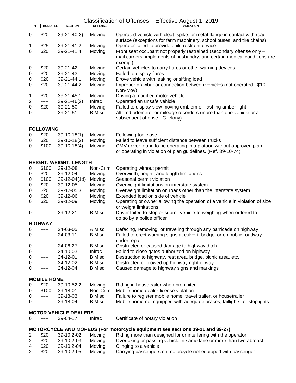| PT | <b>BOND/FEE</b>    | <b>SECTION</b>                           | <b>OFFENSE</b> | <b>VIOLATION</b>                                                                                                                                   |
|----|--------------------|------------------------------------------|----------------|----------------------------------------------------------------------------------------------------------------------------------------------------|
| 0  | \$20               | $39 - 21 - 40(3)$                        | Moving         | Operated vehicle with cleat, spike, or metal flange in contact with road<br>surface (exceptions for farm machinery, school buses, and tire chains) |
| 1  | \$25               | 39-21-41.2                               | Moving         | Operator failed to provide child restraint device                                                                                                  |
| 0  | \$20               | 39-21-41.4                               | Moving         | Front seat occupant not properly restrained (secondary offense only -                                                                              |
|    |                    |                                          |                | mail carriers, implements of husbandry, and certain medical conditions are<br>exempt)                                                              |
| 0  | \$20               | 39-21-42                                 | Moving         | Certain vehicles to carry flares or other warning devices                                                                                          |
| 0  | \$20               | 39-21-43                                 | Moving         | Failed to display flares                                                                                                                           |
| 0  | \$20               | 39-21-44.1                               | Moving         | Drove vehicle with leaking or sifting load                                                                                                         |
| 0  | \$20               | 39-21-44.2                               | Moving         | Improper drawbar or connection between vehicles (not operated - \$10<br>Non-Mov)                                                                   |
| 1  | \$20               | 39-21-45.1                               | Moving         | Driving a modified motor vehicle                                                                                                                   |
| 2  | -----              | $39-21-46(2)$                            | Infrac         | Operated an unsafe vehicle                                                                                                                         |
| 0  | \$20               | 39-21-50                                 | Moving         | Failed to display slow moving emblem or flashing amber light                                                                                       |
| 0  | -----              | 39-21-51                                 | <b>B</b> Misd  | Altered odometer or mileage recorders (more than one vehicle or a<br>subsequent offense - C felony)                                                |
|    | <b>FOLLOWING</b>   |                                          |                |                                                                                                                                                    |
| 0  | \$20               | $39-10-18(1)$                            | Moving         | Following too close                                                                                                                                |
| 0  | \$20               | $39-10-18(2)$                            | Moving         | Failed to leave sufficient distance between trucks                                                                                                 |
| 0  | \$100              | $39-10-18(4)$                            | Moving         | CMV driver found to be operating in a platoon without approved plan<br>or operating in violation of plan guidelines. (Ref. 39-10-74)               |
|    |                    | <b>HEIGHT, WEIGHT, LENGTH</b>            |                |                                                                                                                                                    |
| 0  | \$100              | 39-12-08                                 | Non-Crim       | Operating without permit                                                                                                                           |
| 0  | \$20               | 39-12-04                                 | Moving         | Overwidth, height, and length limitations                                                                                                          |
| 0  | \$100              | 39-12-04(1d)                             | Moving         | Seasonal permit violation                                                                                                                          |
| 0  | \$20               | 39-12-05                                 | Moving         | Overweight limitations on interstate system                                                                                                        |
| 0  | \$20               | 39-12-05.3                               | Moving         | Overweight limitation on roads other than the interstate system                                                                                    |
| 0  | \$20               | 39-12-06                                 | Moving         | Extended load on side of vehicle                                                                                                                   |
| 0  | \$20               | 39-12-09                                 | Moving         | Operating or owner allowing the operation of a vehicle in violation of size                                                                        |
|    |                    |                                          |                | or weight limitations                                                                                                                              |
| 0  | -----              | 39-12-21                                 | <b>B</b> Misd  | Driver failed to stop or submit vehicle to weighing when ordered to                                                                                |
|    | <b>HIGHWAY</b>     |                                          |                | do so by a police officer                                                                                                                          |
| 0  | -----              | 24-03-05                                 | A Misd         | Defacing, removing, or traveling through any barricade on highway                                                                                  |
| 0  | -----              | 24-03-11                                 | <b>B</b> Misd  | Failed to erect warning signs at culvert, bridge, or on public roadway<br>under repair                                                             |
| 0  | -----              | 24-06-27                                 | <b>B</b> Misd  | Obstructed or caused damage to highway ditch                                                                                                       |
| 0  | -----              | 24-10-03                                 | Infrac         | Failed to close gates authorized on highway                                                                                                        |
| 0  | -----              | 24-12-01                                 | <b>B</b> Misd  | Destruction to highway, rest area, bridge, picnic area, etc.                                                                                       |
| 0  | -----              | 24-12-02                                 | <b>B</b> Misd  | Obstructed or plowed up highway right of way                                                                                                       |
| 0  | -----              | 24-12-04                                 | <b>B</b> Misd  | Caused damage to highway signs and markings                                                                                                        |
|    | <b>MOBILE HOME</b> |                                          |                |                                                                                                                                                    |
| 0  | \$20               | 39-10-52.2                               | Moving         | Riding in housetrailer when prohibited                                                                                                             |
| 0  | \$100              | 39-18-01                                 | Non-Crim       | Mobile home dealer license violation                                                                                                               |
| 0  | -----              | 39-18-03                                 | <b>B</b> Misd  | Failure to register mobile home, travel trailer, or housetrailer                                                                                   |
| 0  | -----              | 39-18-04                                 | <b>B</b> Misd  | Mobile home not equipped with adequate brakes, taillights, or stoplights                                                                           |
| 0  | -----              | <b>MOTOR VEHICLE DEALERS</b><br>39-04-17 | Infrac         | Certificate of notary violation                                                                                                                    |
|    |                    |                                          |                | MOTORCYCLE AND MOPEDS (For motorcycle equipment see sections 39-21 and 39-27)                                                                      |
| 2  | \$20               | 39-10.2-02                               | Moving         | Riding more than designed for or interfering with the operator                                                                                     |
| 2  | \$20               | 39-10.2-03                               | Moving         | Overtaking or passing vehicle in same lane or more than two abreast                                                                                |
| 4  | \$20               | 39-10.2-04                               | Moving         | Clinging to a vehicle                                                                                                                              |
| 2  | \$20               | 39-10.2-05                               | Moving         | Carrying passengers on motorcycle not equipped with passenger                                                                                      |
|    |                    |                                          |                |                                                                                                                                                    |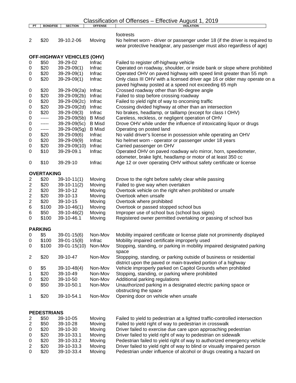| Classification of Offenses - Effective August 1, 2019 |  |
|-------------------------------------------------------|--|
|-------------------------------------------------------|--|

| PT                      | <b>BOND/FEE</b>           | <b>SECTION</b>                    | <b>OFFENSE</b> | $\cdot$ , $ \circ$ $\cdot$<br><b>VIOLATION</b>                              |
|-------------------------|---------------------------|-----------------------------------|----------------|-----------------------------------------------------------------------------|
|                         |                           |                                   |                |                                                                             |
|                         |                           |                                   |                | footrests                                                                   |
| 2                       | \$20                      | 39-10.2-06                        | Moving         | No helmet worn - driver or passenger under 18 (if the driver is required to |
|                         |                           |                                   |                | wear protective headgear, any passenger must also regardless of age)        |
|                         |                           |                                   |                |                                                                             |
|                         |                           | <b>OFF-HIGHWAY VEHICLES (OHV)</b> |                |                                                                             |
|                         |                           |                                   |                |                                                                             |
| 0                       | \$50                      | 39-29-02                          | Infrac         | Failed to register off-highway vehicle                                      |
| 0                       | \$20                      | $39-29-09(1)$                     | Infrac         | Operated on roadway, shoulder, or inside bank or slope where prohibited     |
| 0                       | \$20                      | $39-29-09(1)$                     | Infrac         | Operated OHV on paved highway with speed limit greater than 55 mph          |
| 0                       | \$20                      | $39-29-09(1)$                     | Infrac         | Only class III OHV with a licensed driver age 16 or older may operate on a  |
|                         |                           |                                   |                | paved highway posted at a speed not exceeding 65 mph                        |
| 0                       | \$20                      | 39-29-09(2a)                      | Infrac         | Crossed roadway other than 90-degree angle                                  |
| 0                       | \$20                      | 39-29-09(2b)                      | Infrac         | Failed to stop before crossing roadway                                      |
| 0                       | \$20                      | 39-29-09(2c)                      | Infrac         | Failed to yield right of way to oncoming traffic                            |
|                         |                           |                                   |                |                                                                             |
| 0                       | \$20                      | 39-29-09(2d)                      | Infrac         | Crossing divided highway at other than an intersection                      |
| 0                       | \$20                      | 39-29-09(3)                       | Infrac         | No brakes, headlamp, or taillamp (except for class I OHV)                   |
| 0                       | -----                     | 39-29-09(5b)                      | <b>B</b> Misd  | Careless, reckless, or negligent operation of OHV                           |
| 0                       | -----                     | 39-29-09(5c)                      | <b>B</b> Misd  | Drove OHV while under the influence of intoxicating liquor or drugs         |
| 0                       | -----                     | 39-29-09(5g)                      | <b>B</b> Misd  | Operating on posted land                                                    |
| 0                       | \$20                      | 39-29-09(6)                       | Infrac         | No valid driver's license in possession while operating an OHV              |
| 0                       | \$20                      | 39-29-09(9)                       | Infrac         | No helmet worn - operator or passenger under 18 years                       |
| 0                       | \$20                      | 39-29-09(10)                      | Infrac         | Carried passenger on OHV                                                    |
| 0                       | \$10                      | 39-29-09.1                        | Infrac         | Operated OHV on paved roadway w/o mirror, horn, speedometer,                |
|                         |                           |                                   |                |                                                                             |
|                         |                           |                                   |                | odometer, brake light, headlamp or motor of at least 350 cc                 |
| 0                       | \$10                      | 39-29-10                          | Infrac         | Age 12 or over operating OHV without safety certificate or license          |
|                         |                           |                                   |                |                                                                             |
|                         | <b>OVERTAKING</b>         |                                   |                |                                                                             |
| $\overline{\mathbf{c}}$ | \$20                      | $39-10-11(1)$                     | Moving         | Drove to the right before safely clear while passing                        |
| $\overline{\mathbf{c}}$ | \$20                      | $39-10-11(2)$                     | Moving         | Failed to give way when overtaken                                           |
| 2                       | \$20                      | 39-10-12                          | Moving         | Overtook vehicle on the right when prohibited or unsafe                     |
| 2                       | \$20                      | 39-10-13                          | Moving         | Overtook when unsafe                                                        |
| 2                       | \$20                      | 39-10-15                          | Moving         | Overtook where prohibited                                                   |
|                         | \$100                     |                                   |                | Overtook or passed stopped school bus                                       |
| 6                       |                           | $39-10-46(1)$                     | Moving         |                                                                             |
| 6                       | \$50                      | $39-10-46(2)$                     | Moving         | Improper use of school bus (school bus signs)                               |
| 0                       | \$100                     | 39-10-46.1                        | Moving         | Registered owner permitted overtaking or passing of school bus              |
|                         |                           |                                   |                |                                                                             |
|                         | <b>PARKING</b>            |                                   |                |                                                                             |
| 0                       | \$5                       | $39 - 01 - 15(6)$                 | Non-Mov        | Mobility impaired certificate or license plate not prominently displayed    |
| 0                       | \$100                     | $39 - 01 - 15(8)$                 | Infrac         | Mobility impaired certificate improperly used                               |
| 0                       | \$100                     | $39 - 01 - 15(10)$                | Non-Mov        | Stopping, standing, or parking in mobility impaired designated parking      |
|                         |                           |                                   |                | space                                                                       |
| 2                       | \$20                      | 39-10-47                          | Non-Mov        | Stoppping, standing, or parking outside of business or residential          |
|                         |                           |                                   |                |                                                                             |
|                         |                           |                                   |                | district upon the paved or main-traveled portion of a highway               |
| 0                       | \$5                       | $39-10-48(4)$                     | Non-Mov        | Vehicle improperly parked on Capitol Grounds when prohibited                |
| 1                       | \$20                      | 39-10-49                          | Non-Mov        | Stopping, standing, or parking where prohibited                             |
| 0                       | \$20                      | 39-10-50                          | Non-Mov        | Additional parking regulations                                              |
| 0                       | \$50                      | 39-10-50.1                        | Non-Mov        | Unauthorized parking in a designated electric parking space or              |
|                         |                           |                                   |                | obstructing the space                                                       |
| 1                       | \$20                      | 39-10-54.1                        | Non-Mov        | Opening door on vehicle when unsafe                                         |
|                         |                           |                                   |                |                                                                             |
|                         |                           |                                   |                |                                                                             |
|                         |                           |                                   |                |                                                                             |
|                         | <b>PEDESTRIANS</b><br>¢ፎ∩ | <b>20.10.05</b>                   | $M$ oving      | Eqiled to viold to podectrian at a lighted traffic controlled intersection  |
|                         |                           |                                   |                |                                                                             |

| \$50<br>Failed to yield right of way to pedestrian in crosswalk<br>39-10-28<br>Moving                    |  |
|----------------------------------------------------------------------------------------------------------|--|
| \$20<br>Driver failed to exercise due care upon approaching pedestrian<br>39-10-30<br>Moving             |  |
| \$20<br>Driver failed to yield right of way to pedestrian on sidewalk<br>39-10-33.1<br>Moving            |  |
| \$20<br>Pedestrian failed to yield right of way to authorized emergency vehicle<br>39-10-33.2<br>Moving  |  |
| \$20<br>39-10-33.3<br>Driver failed to yield right of way to blind or visually impaired person<br>Moving |  |
| \$20<br>Pedestrian under influence of alcohol or drugs creating a hazard on<br>39-10-33.4<br>Moving      |  |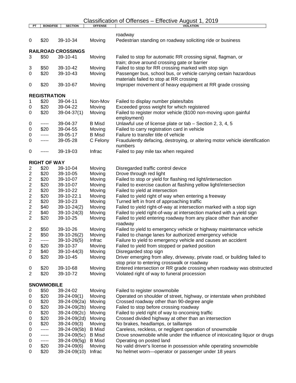## Classification of Offenses – Effective August 1, 2019 **PT BOND/FEE SECTION OFFENSE VIOLATION**

| PI.                     | BUND/FEE            | <b>SECTION</b>              | UFFENSE          | <b>VIOLATION</b>                                                                                                          |
|-------------------------|---------------------|-----------------------------|------------------|---------------------------------------------------------------------------------------------------------------------------|
|                         |                     |                             |                  | roadway                                                                                                                   |
| 0                       | \$20                | 39-10-34                    | Moving           | Pedestrian standing on roadway soliciting ride or business                                                                |
|                         |                     | <b>RAILROAD CROSSINGS</b>   |                  |                                                                                                                           |
| 3                       | \$50                | 39-10-41                    | Moving           | Failed to stop for automatic RR crossing signal, flagman, or<br>train; drove around crossing gate or barrier              |
| 3                       | \$50                | 39-10-42                    | Moving           | Failed to stop for RR crossing marked with stop sign                                                                      |
| 0                       | \$20                | 39-10-43                    | Moving           | Passenger bus, school bus, or vehicle carrying certain hazardous<br>materials failed to stop at RR crossing               |
| 0                       | \$20                | 39-10-67                    | Moving           | Improper movement of heavy equipment at RR grade crossing                                                                 |
|                         | <b>REGISTRATION</b> |                             |                  |                                                                                                                           |
| 1                       | \$20                | 39-04-11                    | Non-Mov          | Failed to display number plates/tabs                                                                                      |
| 0                       | \$20                | 39-04-22                    | Moving           | Exceeded gross weight for which registered                                                                                |
| 0                       | \$20                | $39 - 04 - 37(1)$           | Moving           | Failed to register motor vehicle (\$100 non-moving upon gainful<br>employment)                                            |
| 0                       | -----               | 39-04-37                    | <b>B</b> Misd    | Unlawful use of license plate or tab - Section 2, 3, 4, 5                                                                 |
| 0                       | \$20                | 39-04-55                    | Moving           | Failed to carry registration card in vehicle                                                                              |
| 0                       | -----               | 39-05-17                    | <b>B</b> Misd    | Failure to transfer title of vehicle                                                                                      |
| 0                       | -----               | 39-05-28                    | C Felony         | Fraudulently defacing, destroying, or altering motor vehicle identification<br>numbers                                    |
| 0                       | -----               | 39-19-03                    | Infrac           | Failed to pay mile tax when required                                                                                      |
|                         | <b>RIGHT OF WAY</b> |                             |                  |                                                                                                                           |
| $\overline{2}$          | \$20                | 39-10-04                    | Moving           | Disregarded traffic control device                                                                                        |
| $\overline{c}$          | \$20                | 39-10-05                    | Moving           | Drove through red light                                                                                                   |
| $\boldsymbol{2}$        | \$20                | 39-10-07                    | Moving           | Failed to stop or yield for flashing red light/intersection                                                               |
| $\overline{\mathbf{c}}$ | \$20                | 39-10-07                    | Moving           | Failed to exercise caution at flashing yellow light/intersection                                                          |
| $\overline{\mathbf{c}}$ | \$20                | 39-10-22                    | Moving           | Failed to yield at intersection                                                                                           |
| $\boldsymbol{2}$        | \$20                | 39-10-22.1                  | Moving           | Failed to yield right of way when entering a freeway                                                                      |
| $\boldsymbol{2}$        | \$20                | 39-10-23                    | Moving           | Turned left in front of approaching traffic                                                                               |
| $\boldsymbol{2}$        | \$40                | $39-10-24(2)$               | Moving           | Failed to yield right-of-way at intersection marked with a stop sign                                                      |
| $\overline{\mathbf{c}}$ | \$40                | $39-10-24(3)$               | Moving           | Failed to yield right-of-way at intersection marked with a yield sign                                                     |
| $\overline{2}$          | \$20                | 39-10-25                    | Moving           | Failed to yield entering roadway from any place other than another                                                        |
|                         |                     |                             |                  | roadway                                                                                                                   |
| 2                       | \$50                | 39-10-26                    | Moving           | Failed to yield to emergency vehicle or highway maintenance vehicle                                                       |
| $\boldsymbol{2}$        | \$50                | $39-10-26(2)$               | Moving           | Failed to change lanes for authorized emergency vehicle                                                                   |
| $\overline{2}$          | -----               | $39-10-26(5)$               | Infrac           | Failure to yield to emergency vehicle and causes an accident                                                              |
| $\pmb{0}$               | \$20                | 39-10-37                    | Moving           | Failed to yield from stopped or parked position                                                                           |
| 2                       | \$40                | $39-10-44(3)$               | Moving           | Disregarded stop sign                                                                                                     |
| 0                       | \$20                | 39-10-45                    | Moving           | Driver emerging from alley, driveway, private road, or building failed to<br>stop prior to entering crosswalk or roadway  |
| 0<br>2                  | \$20<br>\$20        | 39-10-68<br>39-10-72        | Moving<br>Moving | Entered intersection or RR grade crossing when roadway was obstructed<br>Violated right of way to funeral procession      |
|                         |                     |                             |                  |                                                                                                                           |
|                         | <b>SNOWMOBILE</b>   |                             |                  |                                                                                                                           |
| 0                       | \$50                | 39-24-02                    | Moving           | Failed to register snowmobile                                                                                             |
| 0                       | \$20                | $39 - 24 - 09(1)$           | Moving           | Operated on shoulder of street, highway, or interstate when prohibited                                                    |
| 0                       | \$20                | 39-24-09(2a)                | Moving           | Crossed roadway other than 90-degree angle                                                                                |
| 0                       | \$20                | 39-24-09(2b)                | Moving           | Failed to stop before crossing roadway                                                                                    |
| 0                       | \$20                | 39-24-09(2c)                | Moving           | Failed to yield right of way to oncoming traffic                                                                          |
| 0                       | \$20                | 39-24-09(2d)                | Moving           | Crossed divided highway at other than an intersection                                                                     |
| 0                       | \$20                | $39 - 24 - 09(3)$           | Moving           | No brakes, headlamps, or taillamps                                                                                        |
| 0                       | -----               | 39-24-09(5b)                | <b>B</b> Misd    | Careless, reckless, or negligent operation of snowmobile                                                                  |
| 0                       | -----               | 39-24-09(5c)                | <b>B</b> Misd    | Drove snowmobile while under the influence of intoxicating liquor or drugs                                                |
| 0                       | -----               | 39-24-09(5g)                | <b>B</b> Misd    | Operating on posted land                                                                                                  |
| 0<br>0                  | \$20<br>\$20        | 39-24-09(6)<br>39-24-09(10) | Moving<br>Infrac | No valid driver's license in possession while operating snowmobile<br>No helmet worn-operator or passenger under 18 years |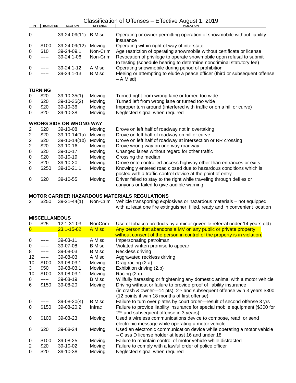| PT               | <b>BOND/FEE</b> | <b>SECTION</b>                 | <b>OFFENSE</b> | <b>VIOLATION</b>                                                                                                                             |
|------------------|-----------------|--------------------------------|----------------|----------------------------------------------------------------------------------------------------------------------------------------------|
| 0                |                 | 39-24-09(11)                   | <b>B</b> Misd  | Operating or owner permitting operation of snowmobile without liability<br>insurance                                                         |
| 0                | \$100           | 39-24-09(12)                   | Moving         | Operating within right of way of interstate                                                                                                  |
| 0                | \$10            | 39-24-09.1                     | Non-Crim       | Age restriction of operating snowmobile without certificate or license                                                                       |
| 0                | -----           | 39-24.1-06                     | Non-Crim       | Revocation of privilege to operate snowmobile upon refusal to submit<br>to testing (schedule hearing to determine noncriminal statutory fee) |
| 0                |                 | 39-24.1-12                     | A Misd         | Operating snowmobile during period of prohibition                                                                                            |
| $\Omega$         |                 | 39-24.1-13                     | <b>B</b> Misd  | Fleeing or attempting to elude a peace officer (third or subsequent offense<br>– A Misd)                                                     |
|                  | <b>TURNING</b>  |                                |                |                                                                                                                                              |
| 0                | \$20            | $39-10-35(1)$                  | Moving         | Turned right from wrong lane or turned too wide                                                                                              |
| 0                | \$20            | $39-10-35(2)$                  | Moving         | Turned left from wrong lane or turned too wide                                                                                               |
| 0                | \$20            | 39-10-36                       | Moving         | Improper turn around (interfered with traffic or on a hill or curve)                                                                         |
| $\Omega$         | \$20            | 39-10-38                       | Moving         | Neglected signal when required                                                                                                               |
|                  |                 | <b>WRONG SIDE OR WRONG WAY</b> |                |                                                                                                                                              |
| 2                | \$20            | 39-10-08                       | Moving         | Drove on left half of roadway not in overtaking                                                                                              |
| $\overline{c}$   | \$20            | $39-10-14(1a)$                 | Moving         | Drove on left half of roadway on hill or curve                                                                                               |
| $\boldsymbol{2}$ | \$20            | $39-10-14(1b)$                 | Moving         | Drove on left half of roadway at intersection or RR crossing                                                                                 |
| $\boldsymbol{2}$ | \$20            | 39-10-16                       | Moving         | Drove wrong way on one-way roadway                                                                                                           |
| $\pmb{0}$        | \$20            | $39-10-17$                     | Moving         | Changed lanes without regard for other traffic                                                                                               |
| 0                | \$20            | 39-10-19                       | Moving         | Crossing the median                                                                                                                          |
| $\overline{2}$   | \$20            | 39-10-20                       | Moving         | Drove onto controlled-access highway other than entrances or exits                                                                           |
| 0                | \$250           | 39-10-21.1                     | Moving         | Knowingly entered road closed due to hazardous conditions which is<br>posted with a traffic-control device at the point of entry             |
| 0                | \$20            | 39-10-55                       | Moving         | Driver failed to stay to the right while traveling through defiles or<br>canyons or failed to give audible warning                           |

## **MOTOR CARRIER HAZARDOUS MATERIALS REGULATIONS**

 \$250 39-21-44(1) Non-Crim Vehicle transporting explosives or hazardous materials – not equipped with at least one fire extinguisher, filled, ready and in convenient location

#### **MISCELLANEOUS**

| 0              | \$25  | 12.1-31-03       | <b>NonCrim</b> | Use of tobacco products by a minor (juvenile referral under 14 years old)            |
|----------------|-------|------------------|----------------|--------------------------------------------------------------------------------------|
| $\overline{0}$ |       | $23.1 - 15 - 02$ | A Misd         | Any person that abandons a MV on any public or private property                      |
|                |       |                  |                | without consent of the person in control of the property is in violation.            |
| $\Omega$       |       | 39-03-11         | A Misd         | Impersonating patrolman                                                              |
| 0              | ----- | 39-07-08         | <b>B</b> Misd  | Violated written promise to appear                                                   |
| 8              | ----- | 39-08-03         | B Misd         | Reckless driving                                                                     |
| 12             | ----- | 39-08-03         | A Misd         | Aggravated reckless driving                                                          |
| 10             | \$100 | 39-08-03.1       | Moving         | Drag racing (2.a)                                                                    |
| 3              | \$50  | 39-08-03.1       | Moving         | Exhibition driving (2.b)                                                             |
| 10             | \$100 | 39-08-03.1       | Moving         | Racing (2.c)                                                                         |
| 0              | ----- | 39-08-19         | <b>B</b> Misd  | Willfully harassing or frightening any domestic animal with a motor vehicle          |
| 6              | \$150 | 39-08-20         | Moving         | Driving without or failure to provide proof of liability insurance                   |
|                |       |                  |                | (in crash & owner—14 pts); 2 <sup>nd</sup> and subsequent offense w/in 3 years \$300 |
|                |       |                  |                | (12 points if w/in 18 months of first offense)                                       |
| 0              |       | $39-08-20(4)$    | <b>B</b> Misd  | Failure to turn over plates by court order-result of second offense 3 yrs            |
| $\Omega$       | \$150 | 39-08-20.2       | Infrac         | Failure to provide liability insurance for special mobile equipment (\$300 for       |
|                |       |                  |                | 2 <sup>nd</sup> and subsequent offense in 3 years)                                   |
| 0              | \$100 | 39-08-23         | Moving         | Used a wireless communications device to compose, read, or send                      |
|                |       |                  |                | electronic message while operating a motor vehicle                                   |
| 0              | \$20  | 39-08-24         | Moving         | Used an electronic communication device while operating a motor vehicle              |
|                |       |                  |                | - Class D license holder at least 16 and under 18                                    |
| 0              | \$100 | 39-08-25         | Moving         | Failure to maintain control of motor vehicle while distracted                        |
| 2              | \$20  | 39-10-02         | Moving         | Failure to comply with a lawful order of police officer                              |
| $\Omega$       | \$20  | 39-10-38         | Moving         | Neglected signal when required                                                       |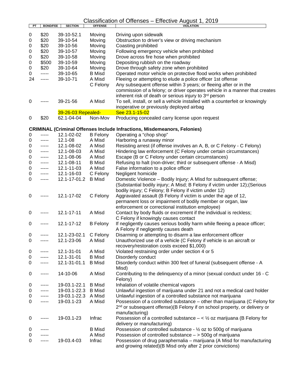| PТ | <b>BOND/FEE</b> | <b>SECTION</b>     | <b>OFFENSE</b>  | <b>VIOLATION</b>                                                                      |
|----|-----------------|--------------------|-----------------|---------------------------------------------------------------------------------------|
| 0  | \$20            | 39-10-52.1         | Moving          | Driving upon sidewalk                                                                 |
| 0  | \$20            | 39-10-54           | Moving          | Obstruction to driver's view or driving mechanism                                     |
| 0  | \$20            | 39-10-56           | Moving          | Coasting prohibited                                                                   |
|    | \$20            |                    |                 |                                                                                       |
| 0  |                 | 39-10-57           | Moving          | Following emergency vehicle when prohibited                                           |
| 0  | \$20            | 39-10-58           | Moving          | Drove across fire hose when prohibited                                                |
| 0  | \$500           | 39-10-59           | Moving          | Depositing rubbish on the roadway                                                     |
| 0  | \$20            | 39-10-64           | Moving          | Drove through safety zone when prohibited                                             |
| 0  | -----           | 39-10-65           | <b>B</b> Misd   | Operated motor vehicle on protective flood works when prohibited                      |
| 24 | -----           | 39-10-71           | A Misd          | Fleeing or attempting to elude a police officer 1st offense                           |
|    |                 |                    | C Felony        | Any subsequent offense within 3 years; or fleeing after or in the                     |
|    |                 |                    |                 | commission of a felony; or driver operates vehicle in a manner that creates           |
|    |                 |                    |                 | inherent risk of death or serious injury to 3rd person                                |
| 0  |                 | 39-21-56           | A Misd          | To sell, install, or sell a vehicle installed with a counterfeit or knowingly         |
|    |                 |                    |                 | inoperative or previously deployed airbag                                             |
|    |                 | 39-26-03 Repealed- |                 | See 23.1-15-02                                                                        |
| 0  | \$20            | 62.1-04-04         | Non-Mov         | Producing concealed carry license upon request                                        |
|    |                 |                    |                 |                                                                                       |
|    |                 |                    |                 | <b>CRIMINAL (Criminal Offenses Include Infractions, Misdemeanors, Felonies)</b>       |
| 0  |                 | 12.1-02-02         | <b>B</b> Felony | Operating a "chop shop"                                                               |
| 0  | -----           | 12.1-08            | A Misd          | Harboring a runaway minor                                                             |
| 0  | -----           | 12.1-08-02         | A Misd          | Resisting arrest (if offense involves an A, B, or C Felony - C Felony)                |
| 0  | -----           | 12.1-08-03         | A Misd          | Hindering law enforcement (C Felony under certain circumstances)                      |
| 0  | -----           | 12.1-08-06         | A Misd          | Escape (B or C Felony under certain circumstances)                                    |
| 0  | -----           | 12.1-08-11         | <b>B</b> Misd   | Refusing to halt (non-driver; third or subsequent offense - A Misd)                   |
| 0  | -----           | 12.1-11-03         | A Misd          | False information to a police officer                                                 |
| 0  | -----           | 12.1-16-03         | C Felony        | Negligent homicide                                                                    |
| 0  | -----           | 12.1-17-01.2       | <b>B</b> Misd   | Domestic Violence - Bodily Injury; A Misd for subsequent offense;                     |
|    |                 |                    |                 | (Substantial bodily injury; A Misd; B Felony if victim under 12); (Serious            |
|    |                 |                    |                 | bodily injury; C Felony; B Felony if victim under 12)                                 |
|    |                 | 12.1-17-02         |                 | Aggravated assault (B Felony if victim is under the age of 12,                        |
| 0  | -----           |                    | C Felony        |                                                                                       |
|    |                 |                    |                 | permanent loss or impairment of bodily member or organ, law                           |
|    |                 |                    |                 | enforcement or correctional institution employee)                                     |
| 0  | -----           | $12.1 - 17 - 11$   | A Misd          | Contact by body fluids or excrement if the individual is reckless;                    |
|    |                 |                    |                 | C Felony if knowingly causes contact                                                  |
| 0  | -----           | 12.1-17-12         | <b>B</b> Felony | If negligently causes serious bodily harm while fleeing a peace officer;              |
|    |                 |                    |                 | A Felony if negligently causes death                                                  |
| 0  |                 | 12.1-23-02.1       | C Felony        | Disarming or attempting to disarm a law enforcement officer                           |
| 0  |                 | 12.1-23-06         | A Misd          | Unauthorized use of a vehicle (C Felony if vehicle is an aircraft or                  |
|    |                 |                    |                 | recovery/restoration costs exceed \$1,000)                                            |
| 0  | -----           | 12.1-31-01         | A Misd          | Violated restraining order under section 4 or 5                                       |
| 0  | -----           | 12.1-31-01         | <b>B</b> Misd   | Disorderly conduct                                                                    |
| 0  | -----           | 12.1-31-01.1       | <b>B</b> Misd   | Disorderly conduct within 300 feet of funeral (subsequent offense - A                 |
|    |                 |                    |                 | Misd)                                                                                 |
| 0  | -----           | 14-10-06           | A Misd          | Contributing to the delinquency of a minor (sexual conduct under 16 - C               |
|    |                 |                    |                 | Felony)                                                                               |
| 0  | -----           | 19-03.1-22.1       | <b>B</b> Misd   | Inhalation of volatile chemical vapors                                                |
| 0  | -----           | 19-03.1-22.3       | <b>B</b> Misd   | Unlawful ingestion of marijuana under 21 and not a medical card holder                |
| 0  | -----           | 19-03.1-22.3       | A Misd          | Unlawful ingestion of a controlled substance not marijuana                            |
| 0  | -----           | 19-03.1-23         | A Misd          | Possession of a controlled substance - other than marijuana (C Felony for             |
|    |                 |                    |                 | 2 <sup>nd</sup> or subsequent offense)(B Felony if on school property, or delivery or |
|    |                 |                    |                 | manufacturing)                                                                        |
| 0  | -----           | 19-03.1-23         | Infrac          | Possession of a controlled substance $-\leq \frac{1}{2}$ oz marijuana (B Felony for   |
|    |                 |                    |                 |                                                                                       |
|    |                 |                    |                 | delivery or manufacturing)                                                            |
| 0  |                 |                    | <b>B</b> Misd   | Possession of controlled substance - $\frac{1}{2}$ oz to 500g of marijuana            |
| 0  |                 |                    | A Misd          | Possession of controlled substance $-$ > 500g of marijuana                            |
| 0  | -----           | 19-03.4-03         | Infrac          | Possession of drug paraphernalia - marijuana (A Misd for manufacturing                |
|    |                 |                    |                 | and growing related)(B Misd only after 2 prior convictions)                           |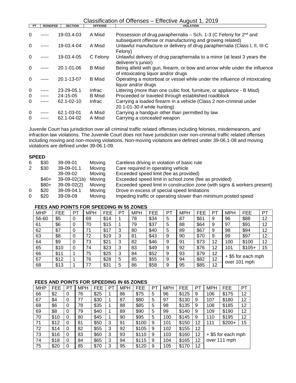| PT       | <b>BOND/FEE</b> | <b>SECTION</b>   | <b>OFFENSE</b> | <b>VIOLATION</b>                                                                                                                   |
|----------|-----------------|------------------|----------------|------------------------------------------------------------------------------------------------------------------------------------|
| $\Omega$ |                 | 19-03.4-03       | A Misd         | Possession of drug paraphernalia – Sch. 1-3 (C Felony for $2^{nd}$ and<br>subsequent offense or manufacturing and growing related) |
| $\Omega$ |                 | 19-03.4-04       | A Misd         | Unlawful manufacture or delivery of drug paraphernalia (Class I, II, III-C<br>Felony)                                              |
| $\Omega$ |                 | 19-03.4-05       | C Felony       | Unlawful delivery of drug paraphernalia to a minor (at least 3 years the<br>deliverer's junior)                                    |
| $\Omega$ |                 | $20.1 - 01 - 06$ | B Misd         | Being afield with gun, firearm, or bow and arrow while under the influence<br>of intoxicating liquor and/or drugs                  |
| 0        |                 | 20.1-13-07       | <b>B</b> Misd  | Operating a motorboat or vessel while under the influence of intoxicating<br>liquor and/or drugs                                   |
| 0        |                 | 23-29-05.1       | <b>Infrac</b>  | Littering (more than one cubic foot, furniture, or appliance - B Misd)                                                             |
| $\Omega$ | $- - - - -$     | 24-15-05         | <b>B</b> Misd  | Proceeded or traveled through established roadblock                                                                                |
| $\Omega$ |                 | 62.1-02-10       | <b>Infrac</b>  | Carrying a loaded firearm in a vehicle (Class 2 non-criminal under<br>20.1-01-30 if while hunting)                                 |
| $\Omega$ |                 | 62.1-03-01       | A Misd         | Carrying a handgun other than permitted by law                                                                                     |
| $\Omega$ |                 | 62.1-04-02       | A Misd         | Carrying a concealed weapon                                                                                                        |

Juvenile Court has jurisdiction over all criminal traffic related offenses including felonies, misdemeanors, and infraction law violations. The Juvenile Court does not have jurisdiction over non-criminal traffic related offenses including moving and non-moving violations. Non-moving violations are defined under 39-06.1-08 and moving violations are defined under 39-06.1-09.

#### **SPEED**

| 6 | \$30   | 39-09-01      | Moving | Careless driving in violation of basic rule                              |
|---|--------|---------------|--------|--------------------------------------------------------------------------|
|   | \$30   | 39-09-01.1    | Moving | Care required in operating vehicle                                       |
|   |        | 39-09-02      | Moving | Exceeded speed limit (fee as provided)                                   |
|   | $$40+$ | 39-09-02(1b)  | Moving | Exceeded speed limit in school zone (fee as provided)                    |
|   | $$80+$ | $39-09-02(2)$ | Moving | Exceeded speed limit in construction zone (with signs & workers present) |
| 0 | \$20   | 39-09-04.1    | Moving | Drove in excess of special speed limitations                             |
|   | \$20   | 39-09-09      | Moving | Impeding traffic or operating slower than minimum posted speed           |

#### **FEES AND POINTS FOR SPEEDING IN 55 ZONES**

| <b>MHP</b> | <b>FEE</b> | PТ | MPH | FEE       | PТ | <b>MPH</b> | <b>FEE</b> | <b>PT</b> | <b>MPH</b> | <b>FEE</b> | P1 | <b>MPH</b> | <b>FEE</b>                         | PT |
|------------|------------|----|-----|-----------|----|------------|------------|-----------|------------|------------|----|------------|------------------------------------|----|
| 56-60      | \$5        |    | 69  | \$14      |    | 78         | \$34       | 5         | 87         | \$61       | 9  | 96         | \$88                               | 12 |
| 61         | \$6        |    | 70  | \$15      |    | 79         | \$37       | 5         | 88         | \$64       | 9  | 97         | \$91                               | 12 |
| 62         | \$7        |    | 71  | \$1.<br>⇁ | 3  | 80         | \$40       | 5         | 89         | \$67       | 9  | 98         | \$94                               | 12 |
| 63         | \$8        |    | 72  | \$19      | 3  | 81         | \$43       | 9         | 90         | \$70       | 9  | 99         | \$97                               | 12 |
| 64         | \$9        |    | 73  | \$21      | 3  | 82         | \$46       | 9         | 91         | \$73       | 12 | 100        | \$100                              | 12 |
| 65         | \$10       |    | 74  | \$23      | 3  | 83         | \$49       | 9         | 92         | \$76       | 12 | 101        | $$105+$                            | 15 |
| 66         | \$11       |    | 75  | \$25      | 3  | 84         | \$52       | 9         | 93         | \$79       | 12 |            |                                    |    |
| 67         | \$12       |    | 76  | \$28      | 5  | 85         | \$55       | 9         | 94         | \$82       | 12 |            | + \$5 for each mph<br>over 101 mph |    |
| 68         | \$13       |    | 77  | \$31      | 5  | 86         | \$58       | 9         | 95         | \$85       | 12 |            |                                    |    |

#### **FEES AND POINTS FOR SPEEDING IN 65 ZONES**

| MHP | FEE  | PT | MPH | FEE  | PТ | <b>MPH</b> | FEE       | PТ | <b>MPH</b> | FEE   | PТ | <b>MPH</b> | FEE                | PT |
|-----|------|----|-----|------|----|------------|-----------|----|------------|-------|----|------------|--------------------|----|
| 66  | \$2  | 0  | 76  | \$25 |    | 86         | \$75      | 5  | 96         | \$125 | 9  | 106        | \$175              | 12 |
| 67  | \$4  | 0  | 77  | \$30 |    | 87         | \$80      | 5  | 97         | \$130 | 9  | 107        | \$180              | 12 |
| 68  | \$6  | 0  | 78  | \$35 |    | 88         | \$85      | 5  | 98         | \$135 | 9  | 108        | \$185              | 12 |
| 69  | \$8  | 0  | 79  | \$40 |    | 89         | \$90      | 5  | 99         | \$140 | 9  | 109        | \$190              | 12 |
| 70  | \$10 | 0  | 80  | \$45 |    | 90         | \$95      | 5  | 100        | \$145 | 9  | 110        | \$195              | 12 |
| 71  | \$12 | 0  | 81  | \$50 | 3  | 91         | \$100     | 9  | 101        | \$150 | 12 | 111        | $$200+$            | 15 |
| 72  | \$14 | 0  | 82  | \$55 | 3  | 92         | \$105     | 9  | 102        | \$155 | 12 |            |                    |    |
| 73  | \$16 | 0  | 83  | \$60 | 3  | 93         | \$1<br>10 | 9  | 103        | \$160 | 12 |            | + \$5 for each mph |    |
| 74  | \$18 | 0  | 84  | \$65 | 3  | 94         | 15<br>\$1 | 9  | 104        | \$165 | 12 |            | over 111 mph       |    |
| 75  | \$20 | 0  | 85  | \$70 | 3  | 95         | \$120     | 9  | 105        | \$170 | 12 |            |                    |    |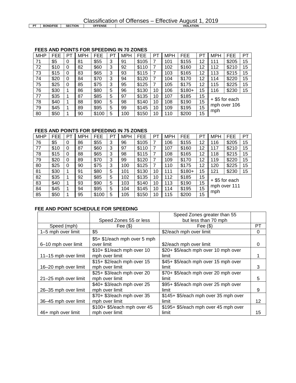|    |     | <b>FEES AND POINTS FOR SPEEDING IN 70 ZONES</b>  |                 |      |            |  |
|----|-----|--------------------------------------------------|-----------------|------|------------|--|
|    |     | MHP   FEE   PT   MPH   FEE   PT   MPH   FEE   PT |                 |      |            |  |
| 71 | \$5 | l 81                                             | $\frac{855}{3}$ | l 91 | $8105$   7 |  |

### MHP | FEE | PT | MPH | FEE | PT | MPH | FEE | PT | MPH | FEE | PT | MPH | FEE | PT 71 | \$5 | 0 | 81 | \$55 | 3 | 91 | \$105 | 7 | 101 | \$155 | 12 | 111 | \$205 | 15

| 72 | \$10 | O | 82 | \$60  | 3 | 92  | \$110 |    | 102 | \$160   | 12 | 112 | \$210          | 15 |
|----|------|---|----|-------|---|-----|-------|----|-----|---------|----|-----|----------------|----|
| 73 | \$15 | 0 | 83 | \$65  | 3 | 93  | \$115 | ⇁  | 103 | \$165   | 12 | 113 | \$215          | 15 |
| 74 | \$20 | 0 | 84 | \$70  | 3 | 94  | \$120 |    | 104 | \$170   | 12 | 114 | \$220          | 15 |
| 75 | \$25 | 0 | 85 | \$75  | 3 | 95  | \$125 | ⇁  | 105 | \$175   | 12 | 115 | \$225          | 15 |
| 76 | \$30 |   | 86 | \$80  | 5 | 96  | \$130 | 10 | 106 | $$180+$ | 15 | 116 | \$230          | 15 |
| 77 | \$35 |   | 87 | \$85  | 5 | 97  | \$135 | 10 | 107 | \$185   | 15 |     |                |    |
| 78 | \$40 |   | 88 | \$90  | 5 | 98  | \$140 | 10 | 108 | \$190   | 15 |     | + \$5 for each |    |
| 79 | \$45 |   | 89 | \$95  | 5 | 99  | \$145 | 10 | 109 | \$195   | 15 |     | mph over 106   |    |
| 80 | \$50 |   | 90 | \$100 | 5 | 100 | \$150 | 10 | 110 | \$200   | 15 | mph |                |    |

#### **FEES AND POINTS FOR SPEEDING IN 75 ZONES**

| <b>MHP</b> | FEE  | PT | <b>MPH</b> | FEE   | PT | <b>MPH</b> | FEE       | PT | <b>MPH</b> | <b>FEE</b> | PT | <b>MPH</b> | FEE          | PT |
|------------|------|----|------------|-------|----|------------|-----------|----|------------|------------|----|------------|--------------|----|
| 76         | \$5  | 0  | 86         | \$55  | 3  | 96         | \$105     | 7  | 06         | \$155      | 12 | 116        | \$205        | 15 |
| 77         | \$10 |    | 87         | \$60  | 3  | 97         | \$1<br>10 |    | 107        | \$160      | 12 | 117        | \$210        | 15 |
| 78         | \$15 |    | 88         | \$65  | 3  | 98         | \$1<br>15 |    | 108        | \$165      | 12 | 118        | \$215        | 15 |
| 79         | \$20 | 0  | 89         | \$70  | 3  | 99         | \$120     | 7  | 09         | \$170      | 12 | 119        | \$220        | 15 |
| 80         | \$25 | 0  | 90         | \$75  | 3  | 100        | \$125     |    | 10         | \$175      | 12 | 120        | \$225        | 15 |
| 81         | \$30 |    | 91         | \$80  | 5  | 101        | \$130     | 10 | 11         | $$180+$    | 15 | 121        | \$230        | 15 |
| 82         | \$35 |    | 92         | \$85  | 5  | 102        | \$135     | 10 | 12         | \$185      | 15 |            |              |    |
| 83         | \$40 |    | 93         | \$90  | 5  | 103        | \$140     | 10 | 13         | \$190      | 15 |            | \$5 for each |    |
| 84         | \$45 |    | 94         | \$95  | 5  | 104        | \$145     | 10 | 14         | \$195      | 15 |            | mph over 111 |    |
| 85         | \$50 |    | 95         | \$100 | 5  | 105        | \$150     | 10 | 15         | \$200      | 15 | mph        |              |    |

#### **FEE AND POINT SCHEDULE FOR SPEEDING**

|                      |                              | Speed Zones greater than 55          |    |
|----------------------|------------------------------|--------------------------------------|----|
|                      | Speed Zones 55 or less       | but less than 70 mph                 |    |
| Speed (mph)          | Fee $($ \$)                  | Fee $(S)$                            | РT |
| 1-5 mph over limit   | \$5                          | \$2/each mph over limit              | 0  |
|                      | \$5+ \$1/each mph over 5 mph |                                      |    |
| 6-10 mph over limit  | over limit                   | \$2/each mph over limit              | O  |
|                      | \$10+ \$1/each mph over 10   | \$20+ \$5/each mph over 10 mph over  |    |
| 11-15 mph over limit | mph over limit               | limit                                |    |
|                      | \$15+ \$2/each mph over 15   | \$45+ \$5/each mph over 15 mph over  |    |
| 16–20 mph over limit | mph over limit               | limit                                | 3  |
|                      | \$25+ \$3/each mph over 20   | \$70+ \$5/each mph over 20 mph over  |    |
| 21-25 mph over limit | mph over limit               | limit                                | 5  |
|                      | \$40+ \$3/each mph over 25   | \$95+ \$5/each mph over 25 mph over  |    |
| 26-35 mph over limit | mph over limit               | limit                                | 9  |
|                      | \$70+ \$3/each mph over 35   | \$145+ \$5/each mph over 35 mph over |    |
| 36-45 mph over limit | mph over limit               | limit                                | 12 |
|                      | \$100+ \$5/each mph over 45  | \$195+ \$5/each mph over 45 mph over |    |
| 46+ mph over limit   | mph over limit               | limit                                | 15 |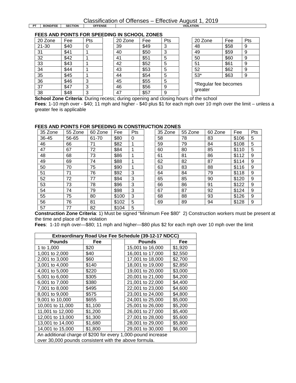**PT BOND/FEE SECTION** 

**FEES AND POINTS FOR SPEEDING IN SCHOOL ZONES**

| 20 Zone         | Fee  | Pts | 20 Zone | Fee  | Р |
|-----------------|------|-----|---------|------|---|
| 21-30           | \$40 | 0   | 39      | \$49 | 3 |
| 31              | \$41 |     | 40      | \$50 | 3 |
| $\overline{32}$ | \$42 |     | 41      | \$51 | 5 |
| 33              | \$43 |     | 42      | \$52 | 5 |
| 34              | \$44 |     | 43      | \$53 | 5 |
| 35              | \$45 |     | 44      | \$54 | 5 |
| 36              | \$46 | 3   | 45      | \$55 | 5 |
| 37              | \$47 | 3   | 46      | \$56 | 9 |
| 38              | \$48 | 3   | 47      | \$57 | 9 |

| 20 Zone | Fee  | Pts | 20 Zone | Fee  | Pts | 20 Zone              | Fee  | Pts |
|---------|------|-----|---------|------|-----|----------------------|------|-----|
| 21-30   | \$40 | υ   | 39      | \$49 | 3   | 48                   | \$58 | 9   |
| 31      | \$41 |     | 40      | \$50 | 3   | 49                   | \$59 | 9   |
| 32      | \$42 |     | 41      | \$51 | 5   | 50                   | \$60 | 9   |
| 33      | \$43 |     | 42      | \$52 | 5   | 51                   | \$61 | 9   |
| 34      | \$44 |     | 43      | \$53 | 5   | 52                   | \$62 | 9   |
| 35      | \$45 |     | 44      | \$54 | 5   | $53*$                | \$63 | 9   |
| 36      | \$46 | 3   | 45      | \$55 | 5   |                      |      |     |
| 37      | \$47 | 3   | 46      | \$56 | 9   | *Regular fee becomes |      |     |
| 38      | \$48 | 3   | 47      | \$57 | 9   | greater              |      |     |
|         |      |     |         |      |     |                      |      |     |

| 20 Zone                         | Fee  | Pts |
|---------------------------------|------|-----|
| 48                              | \$58 | 9   |
| 49                              | \$59 | 9   |
| 50                              | \$60 | 9   |
| 51                              | \$61 | 9   |
| 52                              | \$62 | 9   |
| $53*$                           | \$63 | 9   |
| *Regular fee becomes<br>greater |      |     |

**School Zone Criteria**: During recess; during opening and closing hours of the school **Fees**: 1-10 mph over - \$40; 11 mph and higher - \$40 plus \$1 for each mph over 10 mph over the limit – unless a greater fee is applicable

#### **FEES AND POINTS FOR SPEEDING IN CONSTRUCTION ZONES**

| 35 Zone | 55 Zone | 60 Zone | Fee   | Pts | 35 Zone | 55 Zone | 60 Zone | Fee   | P |
|---------|---------|---------|-------|-----|---------|---------|---------|-------|---|
| 36-45   | 56-65   | 61-70   | \$80  | 0   | 58      | 78      | 83      | \$106 | 5 |
| 46      | 66      | 71      | \$82  |     | 59      | 79      | 84      | \$108 | 5 |
| 47      | 67      | 72      | \$84  |     | 60      | 80      | 85      | \$110 | 5 |
| 48      | 68      | 73      | \$86  |     | 61      | 81      | 86      | \$112 | 9 |
| 49      | 69      | 74      | \$88  |     | 62      | 82      | 87      | \$114 | 9 |
| 50      | 70      | 75      | \$90  |     | 63      | 83      | 88      | \$116 | 9 |
| 51      | 71      | 76      | \$92  | 3   | 64      | 84      | 79      | \$118 | 9 |
| 52      | 72      | 77      | \$94  | 3   | 65      | 85      | 90      | \$120 | 9 |
| 53      | 73      | 78      | \$96  | 3   | 66      | 86      | 91      | \$122 | 9 |
| 54      | 74      | 79      | \$98  | 3   | 67      | 87      | 92      | \$124 | 9 |
| 55      | 75      | 80      | \$100 | 3   | 68      | 88      | 93      | \$126 | 9 |
| 56      | 76      | 81      | \$102 | 5   | 69      | 89      | 94      | \$128 | 9 |
| 57      | 77      | 82      | \$104 | 5   |         |         |         |       |   |

| .∟ט ריי | . .     |         |       |     |         |         |         |       |     |
|---------|---------|---------|-------|-----|---------|---------|---------|-------|-----|
| 35 Zone | 55 Zone | 60 Zone | Fee   | Pts | 35 Zone | 55 Zone | 60 Zone | Fee   | Pts |
| 36-45   | 56-65   | 61-70   | \$80  | 0   | 58      | 78      | 83      | \$106 | 5   |
| 46      | 66      | 71      | \$82  |     | 59      | 79      | 84      | \$108 | 5   |
| 47      | 67      | 72      | \$84  |     | 60      | 80      | 85      | \$110 | 5   |
| 48      | 68      | 73      | \$86  |     | 61      | 81      | 86      | \$112 | 9   |
| 49      | 69      | 74      | \$88  |     | 62      | 82      | 87      | \$114 | 9   |
| 50      | 70      | 75      | \$90  |     | 63      | 83      | 88      | \$116 | 9   |
| 51      | 71      | 76      | \$92  | 3   | 64      | 84      | 79      | \$118 | 9   |
| 52      | 72      | 77      | \$94  | 3   | 65      | 85      | 90      | \$120 | 9   |
| 53      | 73      | 78      | \$96  | 3   | 66      | 86      | 91      | \$122 | 9   |
| 54      | 74      | 79      | \$98  | 3   | 67      | 87      | 92      | \$124 | 9   |
| 55      | 75      | 80      | \$100 | 3   | 68      | 88      | 93      | \$126 | 9   |
| 56      | 76      | 81      | \$102 | 5   | 69      | 89      | 94      | \$128 | 9   |

**Construction Zone Criteria**: 1) Must be signed "Minimum Fee \$80" 2) Construction workers must be present at the time and place of the violation

**Fees**: 1-10 mph over—\$80; 11 mph and higher—\$80 plus \$2 for each mph over 10 mph over the limit

| Extraordinary Road Use Fee Schedule (39-12-17 NDCC)          |         |  |                  |         |  |  |  |  |  |
|--------------------------------------------------------------|---------|--|------------------|---------|--|--|--|--|--|
| <b>Pounds</b>                                                | Fee     |  | <b>Pounds</b>    | Fee     |  |  |  |  |  |
| 1 to 1,000                                                   | \$20    |  | 15,001 to 16,000 | \$1,920 |  |  |  |  |  |
| 1,001 to 2,000                                               | \$40    |  | 16,001 to 17,000 | \$2,550 |  |  |  |  |  |
| 2,001 to 3,000                                               | \$60    |  | 17,001 to 18,000 | \$2,700 |  |  |  |  |  |
| 3,001 to 4,000                                               | \$140   |  | 18,001 to 19,000 | \$2,850 |  |  |  |  |  |
| 4,001 to 5,000<br>19,001 to 20,000<br>\$220<br>\$3,000       |         |  |                  |         |  |  |  |  |  |
| 5,001 to 6,000                                               | \$305   |  | 20,001 to 21,000 | \$4,200 |  |  |  |  |  |
| 6,001 to 7,000                                               | \$380   |  | 21,001 to 22,000 | \$4,400 |  |  |  |  |  |
| 7,001 to 8,000                                               | \$495   |  | 22,001 to 23,000 | \$4,600 |  |  |  |  |  |
| 8,001 to 9,000                                               | \$575   |  | 23,001 to 24,000 | \$4,800 |  |  |  |  |  |
| 9,001 to 10,000                                              | \$655   |  | 24,001 to 25,000 | \$5,000 |  |  |  |  |  |
| 10,001 to 11,000                                             | \$1,100 |  | 25,001 to 26,000 | \$5,200 |  |  |  |  |  |
| 11,001 to 12,000                                             | \$1,200 |  | 26,001 to 27,000 | \$5,400 |  |  |  |  |  |
| 12,001 to 13,000                                             | \$1,300 |  | 27,001 to 28,000 | \$5,600 |  |  |  |  |  |
| 13,001 to 14,000                                             | \$1,680 |  | 28,001 to 29,000 | \$5,800 |  |  |  |  |  |
| 14,001 to 15,000<br>\$1,800<br>\$6,000<br>29,001 to 30,000   |         |  |                  |         |  |  |  |  |  |
| An additional charge of \$200 for every 1,000-pound increase |         |  |                  |         |  |  |  |  |  |
| over 30,000 pounds consistent with the above formula.        |         |  |                  |         |  |  |  |  |  |